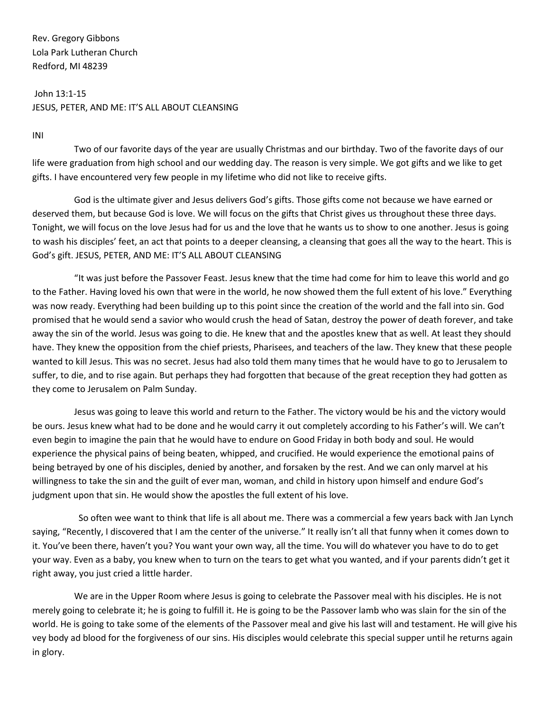Rev. Gregory Gibbons Lola Park Lutheran Church Redford, MI 48239

John 13:1-15 JESUS, PETER, AND ME: IT'S ALL ABOUT CLEANSING

INI

Two of our favorite days of the year are usually Christmas and our birthday. Two of the favorite days of our life were graduation from high school and our wedding day. The reason is very simple. We got gifts and we like to get gifts. I have encountered very few people in my lifetime who did not like to receive gifts.

God is the ultimate giver and Jesus delivers God's gifts. Those gifts come not because we have earned or deserved them, but because God is love. We will focus on the gifts that Christ gives us throughout these three days. Tonight, we will focus on the love Jesus had for us and the love that he wants us to show to one another. Jesus is going to wash his disciples' feet, an act that points to a deeper cleansing, a cleansing that goes all the way to the heart. This is God's gift. JESUS, PETER, AND ME: IT'S ALL ABOUT CLEANSING

"It was just before the Passover Feast. Jesus knew that the time had come for him to leave this world and go to the Father. Having loved his own that were in the world, he now showed them the full extent of his love." Everything was now ready. Everything had been building up to this point since the creation of the world and the fall into sin. God promised that he would send a savior who would crush the head of Satan, destroy the power of death forever, and take away the sin of the world. Jesus was going to die. He knew that and the apostles knew that as well. At least they should have. They knew the opposition from the chief priests, Pharisees, and teachers of the law. They knew that these people wanted to kill Jesus. This was no secret. Jesus had also told them many times that he would have to go to Jerusalem to suffer, to die, and to rise again. But perhaps they had forgotten that because of the great reception they had gotten as they come to Jerusalem on Palm Sunday.

Jesus was going to leave this world and return to the Father. The victory would be his and the victory would be ours. Jesus knew what had to be done and he would carry it out completely according to his Father's will. We can't even begin to imagine the pain that he would have to endure on Good Friday in both body and soul. He would experience the physical pains of being beaten, whipped, and crucified. He would experience the emotional pains of being betrayed by one of his disciples, denied by another, and forsaken by the rest. And we can only marvel at his willingness to take the sin and the guilt of ever man, woman, and child in history upon himself and endure God's judgment upon that sin. He would show the apostles the full extent of his love.

So often wee want to think that life is all about me. There was a commercial a few years back with Jan Lynch saying, "Recently, I discovered that I am the center of the universe." It really isn't all that funny when it comes down to it. You've been there, haven't you? You want your own way, all the time. You will do whatever you have to do to get your way. Even as a baby, you knew when to turn on the tears to get what you wanted, and if your parents didn't get it right away, you just cried a little harder.

We are in the Upper Room where Jesus is going to celebrate the Passover meal with his disciples. He is not merely going to celebrate it; he is going to fulfill it. He is going to be the Passover lamb who was slain for the sin of the world. He is going to take some of the elements of the Passover meal and give his last will and testament. He will give his vey body ad blood for the forgiveness of our sins. His disciples would celebrate this special supper until he returns again in glory.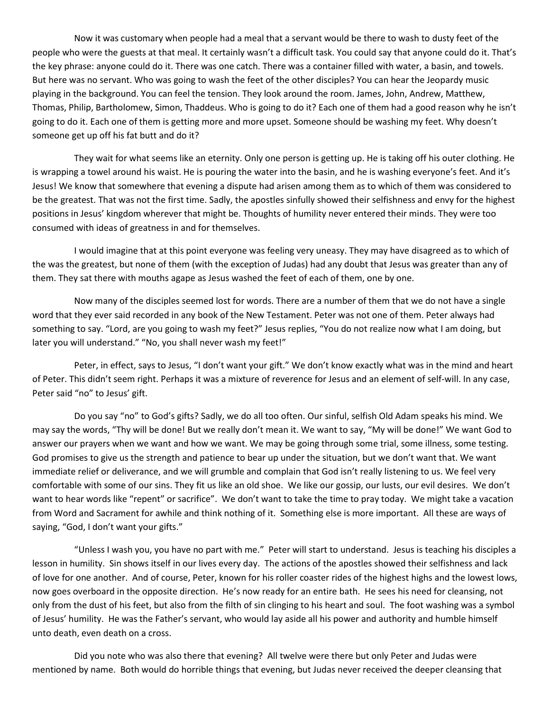Now it was customary when people had a meal that a servant would be there to wash to dusty feet of the people who were the guests at that meal. It certainly wasn't a difficult task. You could say that anyone could do it. That's the key phrase: anyone could do it. There was one catch. There was a container filled with water, a basin, and towels. But here was no servant. Who was going to wash the feet of the other disciples? You can hear the Jeopardy music playing in the background. You can feel the tension. They look around the room. James, John, Andrew, Matthew, Thomas, Philip, Bartholomew, Simon, Thaddeus. Who is going to do it? Each one of them had a good reason why he isn't going to do it. Each one of them is getting more and more upset. Someone should be washing my feet. Why doesn't someone get up off his fat butt and do it?

They wait for what seems like an eternity. Only one person is getting up. He is taking off his outer clothing. He is wrapping a towel around his waist. He is pouring the water into the basin, and he is washing everyone's feet. And it's Jesus! We know that somewhere that evening a dispute had arisen among them as to which of them was considered to be the greatest. That was not the first time. Sadly, the apostles sinfully showed their selfishness and envy for the highest positions in Jesus' kingdom wherever that might be. Thoughts of humility never entered their minds. They were too consumed with ideas of greatness in and for themselves.

I would imagine that at this point everyone was feeling very uneasy. They may have disagreed as to which of the was the greatest, but none of them (with the exception of Judas) had any doubt that Jesus was greater than any of them. They sat there with mouths agape as Jesus washed the feet of each of them, one by one.

Now many of the disciples seemed lost for words. There are a number of them that we do not have a single word that they ever said recorded in any book of the New Testament. Peter was not one of them. Peter always had something to say. "Lord, are you going to wash my feet?" Jesus replies, "You do not realize now what I am doing, but later you will understand." "No, you shall never wash my feet!"

Peter, in effect, says to Jesus, "I don't want your gift." We don't know exactly what was in the mind and heart of Peter. This didn't seem right. Perhaps it was a mixture of reverence for Jesus and an element of self-will. In any case, Peter said "no" to Jesus' gift.

Do you say "no" to God's gifts? Sadly, we do all too often. Our sinful, selfish Old Adam speaks his mind. We may say the words, "Thy will be done! But we really don't mean it. We want to say, "My will be done!" We want God to answer our prayers when we want and how we want. We may be going through some trial, some illness, some testing. God promises to give us the strength and patience to bear up under the situation, but we don't want that. We want immediate relief or deliverance, and we will grumble and complain that God isn't really listening to us. We feel very comfortable with some of our sins. They fit us like an old shoe. We like our gossip, our lusts, our evil desires. We don't want to hear words like "repent" or sacrifice". We don't want to take the time to pray today. We might take a vacation from Word and Sacrament for awhile and think nothing of it. Something else is more important. All these are ways of saying, "God, I don't want your gifts."

"Unless I wash you, you have no part with me." Peter will start to understand. Jesus is teaching his disciples a lesson in humility. Sin shows itself in our lives every day. The actions of the apostles showed their selfishness and lack of love for one another. And of course, Peter, known for his roller coaster rides of the highest highs and the lowest lows, now goes overboard in the opposite direction. He's now ready for an entire bath. He sees his need for cleansing, not only from the dust of his feet, but also from the filth of sin clinging to his heart and soul. The foot washing was a symbol of Jesus' humility. He was the Father's servant, who would lay aside all his power and authority and humble himself unto death, even death on a cross.

Did you note who was also there that evening? All twelve were there but only Peter and Judas were mentioned by name. Both would do horrible things that evening, but Judas never received the deeper cleansing that